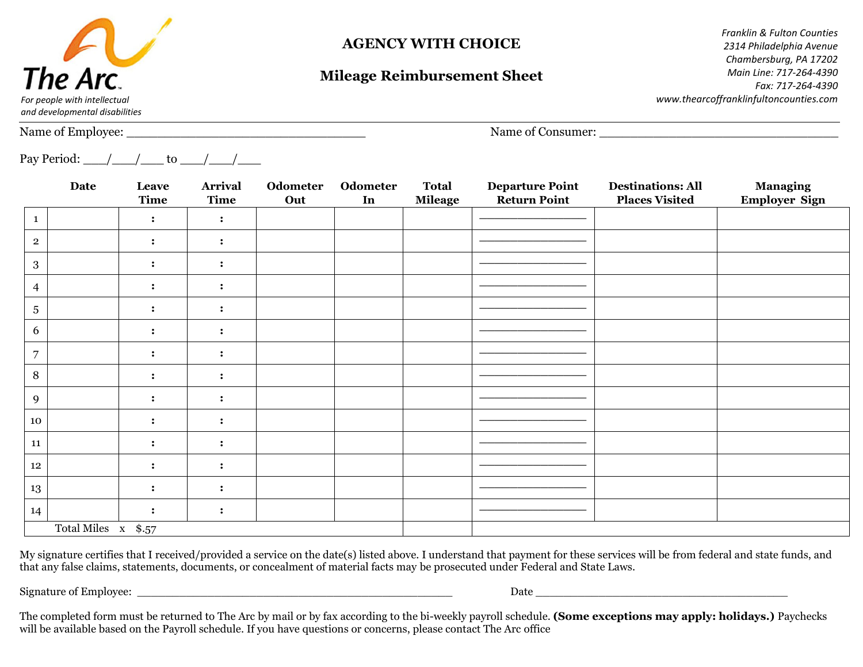

# **AGENCY WITH CHOICE**

# **Mileage Reimbursement Sheet**

*Franklin & Fulton Counties 2314 Philadelphia Avenue Chambersburg, PA 17202 Main Line: 717-264-4390 Fax: 717-264-4390 www.thearcoffranklinfultoncounties.com*

*and developmental disabilities*

Name of Employee:  $\Box$  Name of Consumer:  $\Box$ 

Pay Period:  $\angle$  / to / /

|                | <b>Date</b>   | Leave<br>Time  | <b>Arrival</b><br>Time | Odometer<br>Out | Odometer<br>In | <b>Total</b><br>Mileage | <b>Departure Point</b><br><b>Return Point</b> | <b>Destinations: All</b><br><b>Places Visited</b> | <b>Managing</b><br><b>Employer Sign</b> |
|----------------|---------------|----------------|------------------------|-----------------|----------------|-------------------------|-----------------------------------------------|---------------------------------------------------|-----------------------------------------|
| $\mathbf{1}$   |               | $\cdot$        | $\ddot{\cdot}$         |                 |                |                         |                                               |                                                   |                                         |
| $\overline{2}$ |               | $\ddot{\cdot}$ | $\ddot{\cdot}$         |                 |                |                         |                                               |                                                   |                                         |
| $\mathbf{3}$   |               |                |                        |                 |                |                         |                                               |                                                   |                                         |
| $\overline{4}$ |               | $\ddot{\cdot}$ | $\ddot{\cdot}$         |                 |                |                         |                                               |                                                   |                                         |
| $\overline{5}$ |               | $\cdot$        | $\ddot{\cdot}$         |                 |                |                         |                                               |                                                   |                                         |
| 6              |               | $\cdot$        | $\ddot{\cdot}$         |                 |                |                         |                                               |                                                   |                                         |
| $\overline{7}$ |               | $\ddot{\cdot}$ | $\ddot{\cdot}$         |                 |                |                         |                                               |                                                   |                                         |
| 8              |               | $\bullet$      | $\ddot{\cdot}$         |                 |                |                         |                                               |                                                   |                                         |
| 9              |               | $\ddot{\cdot}$ | $\ddot{\cdot}$         |                 |                |                         |                                               |                                                   |                                         |
| $10\,$         |               |                |                        |                 |                |                         |                                               |                                                   |                                         |
| 11             |               | $\bullet$      | $\ddot{\cdot}$         |                 |                |                         |                                               |                                                   |                                         |
| $12\,$         |               | $\cdot$        | $\ddot{\cdot}$         |                 |                |                         |                                               |                                                   |                                         |
| 13             |               |                |                        |                 |                |                         |                                               |                                                   |                                         |
| 14             |               | $\ddot{\cdot}$ | $\ddot{\cdot}$         |                 |                |                         |                                               |                                                   |                                         |
|                | Total Miles x | \$.57          |                        |                 |                |                         |                                               |                                                   |                                         |

My signature certifies that I received/provided a service on the date(s) listed above. I understand that payment for these services will be from federal and state funds, and that any false claims, statements, documents, or concealment of material facts may be prosecuted under Federal and State Laws.

Signature of Employee: \_\_\_\_\_\_\_\_\_\_\_\_\_\_\_\_\_\_\_\_\_\_\_\_\_\_\_\_\_\_\_\_\_\_\_\_\_\_\_\_\_\_\_\_\_ Date \_\_\_\_\_\_\_\_\_\_\_\_\_\_\_\_\_\_\_\_\_\_\_\_\_\_\_\_\_\_\_\_\_\_\_\_

The completed form must be returned to The Arc by mail or by fax according to the bi-weekly payroll schedule. **(Some exceptions may apply: holidays.)** Paychecks will be available based on the Payroll schedule. If you have questions or concerns, please contact The Arc office